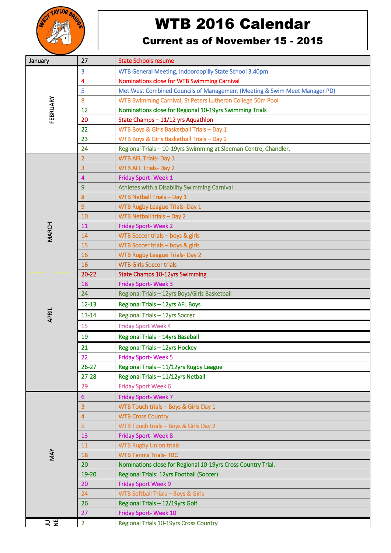

## WTB 2016 Calendar

## Current as of November 15 - 2015

| January      | 27                      | <b>State Schools resume</b>                                               |
|--------------|-------------------------|---------------------------------------------------------------------------|
| FEBRUARY     | 3                       | WTB General Meeting, Indooroopilly State School 3.40pm                    |
|              | 4                       | Nominations close for WTB Swimming Carnival                               |
|              | 5                       | Met West Combined Councils of Management (Meeting & Swim Meet Manager PD) |
|              | 8                       | WTB Swimming Carnival, St Peters Lutheran College 50m Pool                |
|              | 12                      | Nominations close for Regional 10-19yrs Swimming Trials                   |
|              | 20                      | State Champs - 11/12 yrs Aquathlon                                        |
|              | 22                      | WTB Boys & Girls Basketball Trials - Day 1                                |
|              | 23                      | WTB Boys & Girls Basketball Trials - Day 2                                |
|              | 24                      | Regional Trials - 10-19yrs Swimming at Sleeman Centre, Chandler.          |
| <b>MARCH</b> | $\overline{2}$          | <b>WTB AFL Trials- Day 1</b>                                              |
|              | $\overline{3}$          | <b>WTB AFL Trials-Day 2</b>                                               |
|              | 4                       | Friday Sport-Week 1                                                       |
|              | 9                       | Athletes with a Disability Swimming Carnival                              |
|              | $\boldsymbol{8}$        | <b>WTB Netball Trials - Day 1</b>                                         |
|              | $\overline{9}$          | <b>WTB Rugby League Trials- Day 1</b>                                     |
|              | 10                      | WTB Netball trials - Day 2                                                |
|              | 11                      | <b>Friday Sport-Week 2</b>                                                |
|              | 14                      | WTB Soccer trials - boys & girls                                          |
|              | 15                      | WTB Soccer trials - boys & girls                                          |
|              | 16                      | <b>WTB Rugby League Trials- Day 2</b>                                     |
|              | 16                      | <b>WTB Girls Soccer trials</b>                                            |
|              | $20 - 22$               | <b>State Champs 10-12yrs Swimming</b>                                     |
|              | 18                      | <b>Friday Sport-Week 3</b>                                                |
|              | 24                      | Regional Trials - 12yrs Boys/Girls Basketball                             |
|              | $12 - 13$               | Regional Trials - 12yrs AFL Boys                                          |
| APRIL        | $13 - 14$               | Regional Trials - 12yrs Soccer                                            |
|              | 15                      | <b>Friday Sport Week 4</b>                                                |
|              | 19                      | Regional Trials - 14yrs Baseball                                          |
|              | 21                      | Regional Trials - 12yrs Hockey                                            |
|              | 22                      | Friday Sport-Week 5                                                       |
|              | $26 - 27$               | Regional Trials - 11/12yrs Rugby League                                   |
|              | $27 - 28$               | Regional Trials - 11/12yrs Netball                                        |
|              | 29                      | <b>Friday Sport Week 6</b>                                                |
| MAY          | 6                       | Friday Sport-Week 7                                                       |
|              | $\overline{\mathbf{3}}$ | WTB Touch trials - Boys & Girls Day 1                                     |
|              | $\overline{4}$          | <b>WTB Cross Country</b>                                                  |
|              | $\overline{5}$          | WTB Touch trials - Boys & Girls Day 2                                     |
|              | 13                      | <b>Friday Sport-Week 8</b>                                                |
|              | 11                      | <b>WTB Rugby Union trials</b>                                             |
|              | 18                      | <b>WTB Tennis Trials-TBC</b>                                              |
|              | 20                      | Nominations close for Regional 10-19yrs Cross Country Trial.              |
|              | 19-20                   | Regional Trials: 12yrs Football (Soccer)                                  |
|              | 20                      | <b>Friday Sport Week 9</b>                                                |
|              | 24                      | <b>WTB Softball Trials - Boys &amp; Girls</b>                             |
|              | 26                      | Regional Trials - 12/19yrs Golf                                           |
|              | 27                      | Friday Sport-Week 10                                                      |
| リ<br>NE      | $\overline{2}$          | Regional Trials 10-19yrs Cross Country                                    |